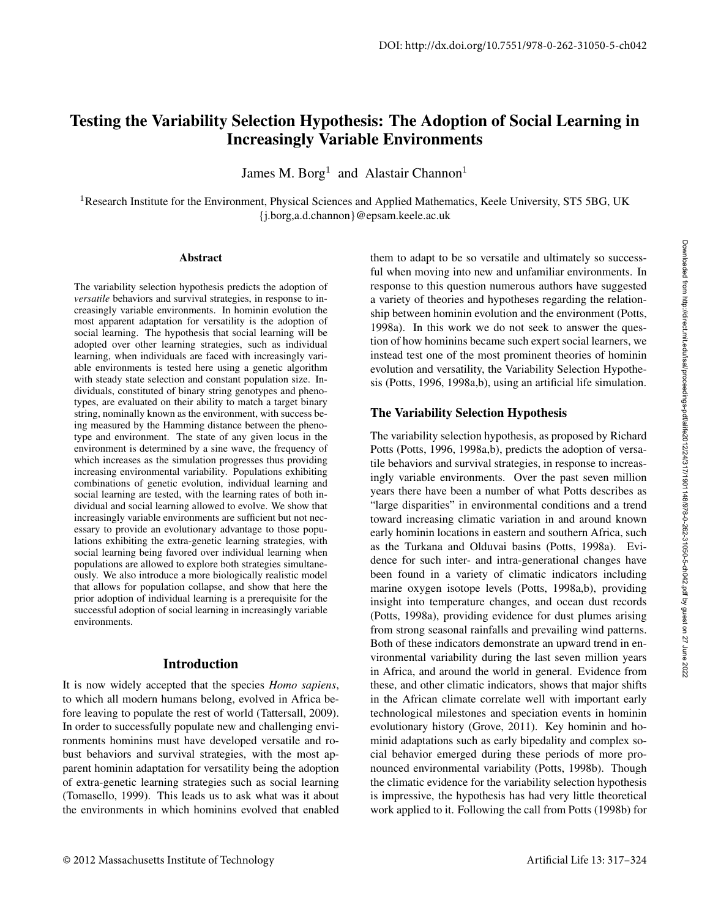# Testing the Variability Selection Hypothesis: The Adoption of Social Learning in Increasingly Variable Environments

James M. Borg<sup>1</sup> and Alastair Channon<sup>1</sup>

<sup>1</sup>Research Institute for the Environment, Physical Sciences and Applied Mathematics, Keele University, ST5 5BG, UK {j.borg,a.d.channon}@epsam.keele.ac.uk

### Abstract

The variability selection hypothesis predicts the adoption of *versatile* behaviors and survival strategies, in response to increasingly variable environments. In hominin evolution the most apparent adaptation for versatility is the adoption of social learning. The hypothesis that social learning will be adopted over other learning strategies, such as individual learning, when individuals are faced with increasingly variable environments is tested here using a genetic algorithm with steady state selection and constant population size. Individuals, constituted of binary string genotypes and phenotypes, are evaluated on their ability to match a target binary string, nominally known as the environment, with success being measured by the Hamming distance between the phenotype and environment. The state of any given locus in the environment is determined by a sine wave, the frequency of which increases as the simulation progresses thus providing increasing environmental variability. Populations exhibiting combinations of genetic evolution, individual learning and social learning are tested, with the learning rates of both individual and social learning allowed to evolve. We show that increasingly variable environments are sufficient but not necessary to provide an evolutionary advantage to those populations exhibiting the extra-genetic learning strategies, with social learning being favored over individual learning when populations are allowed to explore both strategies simultaneously. We also introduce a more biologically realistic model that allows for population collapse, and show that here the prior adoption of individual learning is a prerequisite for the successful adoption of social learning in increasingly variable environments.

### Introduction

It is now widely accepted that the species *Homo sapiens*, to which all modern humans belong, evolved in Africa before leaving to populate the rest of world (Tattersall, 2009). In order to successfully populate new and challenging environments hominins must have developed versatile and robust behaviors and survival strategies, with the most apparent hominin adaptation for versatility being the adoption of extra-genetic learning strategies such as social learning (Tomasello, 1999). This leads us to ask what was it about the environments in which hominins evolved that enabled

them to adapt to be so versatile and ultimately so successful when moving into new and unfamiliar environments. In response to this question numerous authors have suggested a variety of theories and hypotheses regarding the relationship between hominin evolution and the environment (Potts, 1998a). In this work we do not seek to answer the question of how hominins became such expert social learners, we instead test one of the most prominent theories of hominin evolution and versatility, the Variability Selection Hypothesis (Potts, 1996, 1998a,b), using an artificial life simulation.

# The Variability Selection Hypothesis

The variability selection hypothesis, as proposed by Richard Potts (Potts, 1996, 1998a,b), predicts the adoption of versatile behaviors and survival strategies, in response to increasingly variable environments. Over the past seven million years there have been a number of what Potts describes as "large disparities" in environmental conditions and a trend toward increasing climatic variation in and around known early hominin locations in eastern and southern Africa, such as the Turkana and Olduvai basins (Potts, 1998a). Evidence for such inter- and intra-generational changes have been found in a variety of climatic indicators including marine oxygen isotope levels (Potts, 1998a,b), providing insight into temperature changes, and ocean dust records (Potts, 1998a), providing evidence for dust plumes arising from strong seasonal rainfalls and prevailing wind patterns. Both of these indicators demonstrate an upward trend in environmental variability during the last seven million years in Africa, and around the world in general. Evidence from these, and other climatic indicators, shows that major shifts in the African climate correlate well with important early technological milestones and speciation events in hominin evolutionary history (Grove, 2011). Key hominin and hominid adaptations such as early bipedality and complex social behavior emerged during these periods of more pronounced environmental variability (Potts, 1998b). Though the climatic evidence for the variability selection hypothesis is impressive, the hypothesis has had very little theoretical work applied to it. Following the call from Potts (1998b) for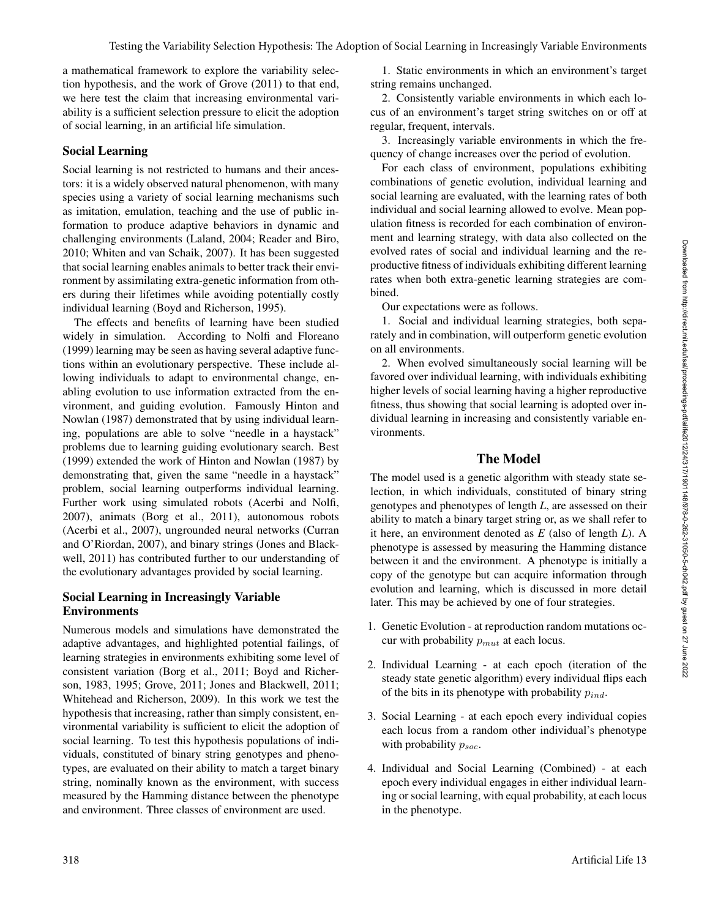a mathematical framework to explore the variability selection hypothesis, and the work of Grove (2011) to that end, we here test the claim that increasing environmental variability is a sufficient selection pressure to elicit the adoption of social learning, in an artificial life simulation.

### Social Learning

Social learning is not restricted to humans and their ancestors: it is a widely observed natural phenomenon, with many species using a variety of social learning mechanisms such as imitation, emulation, teaching and the use of public information to produce adaptive behaviors in dynamic and challenging environments (Laland, 2004; Reader and Biro, 2010; Whiten and van Schaik, 2007). It has been suggested that social learning enables animals to better track their environment by assimilating extra-genetic information from others during their lifetimes while avoiding potentially costly individual learning (Boyd and Richerson, 1995).

The effects and benefits of learning have been studied widely in simulation. According to Nolfi and Floreano (1999) learning may be seen as having several adaptive functions within an evolutionary perspective. These include allowing individuals to adapt to environmental change, enabling evolution to use information extracted from the environment, and guiding evolution. Famously Hinton and Nowlan (1987) demonstrated that by using individual learning, populations are able to solve "needle in a haystack" problems due to learning guiding evolutionary search. Best (1999) extended the work of Hinton and Nowlan (1987) by demonstrating that, given the same "needle in a haystack" problem, social learning outperforms individual learning. Further work using simulated robots (Acerbi and Nolfi, 2007), animats (Borg et al., 2011), autonomous robots (Acerbi et al., 2007), ungrounded neural networks (Curran and O'Riordan, 2007), and binary strings (Jones and Blackwell, 2011) has contributed further to our understanding of the evolutionary advantages provided by social learning.

### Social Learning in Increasingly Variable Environments

Numerous models and simulations have demonstrated the adaptive advantages, and highlighted potential failings, of learning strategies in environments exhibiting some level of consistent variation (Borg et al., 2011; Boyd and Richerson, 1983, 1995; Grove, 2011; Jones and Blackwell, 2011; Whitehead and Richerson, 2009). In this work we test the hypothesis that increasing, rather than simply consistent, environmental variability is sufficient to elicit the adoption of social learning. To test this hypothesis populations of individuals, constituted of binary string genotypes and phenotypes, are evaluated on their ability to match a target binary string, nominally known as the environment, with success measured by the Hamming distance between the phenotype and environment. Three classes of environment are used.

1. Static environments in which an environment's target string remains unchanged.

2. Consistently variable environments in which each locus of an environment's target string switches on or off at regular, frequent, intervals.

3. Increasingly variable environments in which the frequency of change increases over the period of evolution.

For each class of environment, populations exhibiting combinations of genetic evolution, individual learning and social learning are evaluated, with the learning rates of both individual and social learning allowed to evolve. Mean population fitness is recorded for each combination of environment and learning strategy, with data also collected on the evolved rates of social and individual learning and the reproductive fitness of individuals exhibiting different learning rates when both extra-genetic learning strategies are combined.

Our expectations were as follows.

1. Social and individual learning strategies, both separately and in combination, will outperform genetic evolution on all environments.

2. When evolved simultaneously social learning will be favored over individual learning, with individuals exhibiting higher levels of social learning having a higher reproductive fitness, thus showing that social learning is adopted over individual learning in increasing and consistently variable environments.

### The Model

The model used is a genetic algorithm with steady state selection, in which individuals, constituted of binary string genotypes and phenotypes of length *L*, are assessed on their ability to match a binary target string or, as we shall refer to it here, an environment denoted as *E* (also of length *L*). A phenotype is assessed by measuring the Hamming distance between it and the environment. A phenotype is initially a copy of the genotype but can acquire information through evolution and learning, which is discussed in more detail later. This may be achieved by one of four strategies.

- 1. Genetic Evolution at reproduction random mutations occur with probability  $p_{mut}$  at each locus.
- 2. Individual Learning at each epoch (iteration of the steady state genetic algorithm) every individual flips each of the bits in its phenotype with probability  $p_{ind}$ .
- 3. Social Learning at each epoch every individual copies each locus from a random other individual's phenotype with probability  $p_{soc}$ .
- 4. Individual and Social Learning (Combined) at each epoch every individual engages in either individual learning or social learning, with equal probability, at each locus in the phenotype.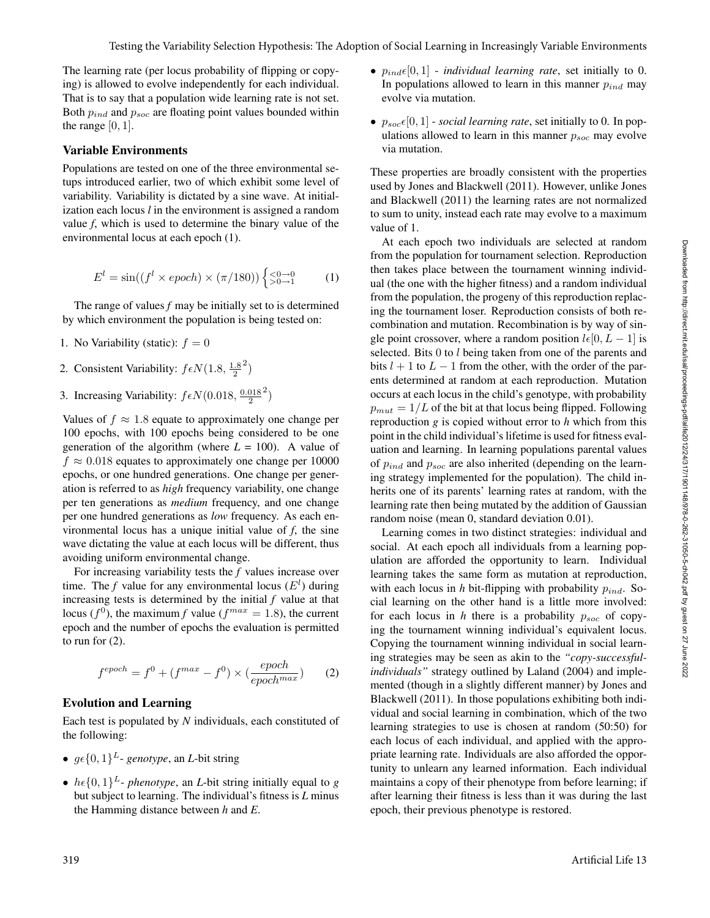The learning rate (per locus probability of flipping or copying) is allowed to evolve independently for each individual. That is to say that a population wide learning rate is not set. Both  $p_{ind}$  and  $p_{soc}$  are floating point values bounded within the range  $[0, 1]$ .

#### Variable Environments

Populations are tested on one of the three environmental setups introduced earlier, two of which exhibit some level of variability. Variability is dictated by a sine wave. At initialization each locus *l* in the environment is assigned a random value *f*, which is used to determine the binary value of the environmental locus at each epoch (1).

$$
E^{l} = \sin((f^{l} \times epoch) \times (\pi/180)) \begin{cases} \leq 0 \to 0\\ > 0 \to 1 \end{cases} (1)
$$

The range of values *f* may be initially set to is determined by which environment the population is being tested on:

- 1. No Variability (static):  $f = 0$
- 2. Consistent Variability:  $f \epsilon N(1.8, \frac{1.8}{2})$  $^{2}$
- 3. Increasing Variability:  $f \epsilon N(0.018, \frac{0.018}{2})$  $^{2}$

Values of  $f \approx 1.8$  equate to approximately one change per 100 epochs, with 100 epochs being considered to be one generation of the algorithm (where  $L = 100$ ). A value of  $f \approx 0.018$  equates to approximately one change per 10000 epochs, or one hundred generations. One change per generation is referred to as *high* frequency variability, one change per ten generations as *medium* frequency, and one change per one hundred generations as *low* frequency. As each environmental locus has a unique initial value of *f*, the sine wave dictating the value at each locus will be different, thus avoiding uniform environmental change.

For increasing variability tests the *f* values increase over time. The *f* value for any environmental locus  $(E^l)$  during increasing tests is determined by the initial *f* value at that locus ( $f^{0}$ ), the maximum *f* value ( $f^{max} = 1.8$ ), the current epoch and the number of epochs the evaluation is permitted to run for (2).

$$
f^{epoch} = f^0 + (f^{max} - f^0) \times (\frac{epoch}{epoch^{max}})
$$
 (2)

#### Evolution and Learning

Each test is populated by *N* individuals, each constituted of the following:

- $q\epsilon\{0, 1\}^L$  *genotype*, an *L*-bit string
- $h \in \{0, 1\}^L$  *phenotype*, an *L*-bit string initially equal to *g* but subject to learning. The individual's fitness is *L* minus the Hamming distance between *h* and *E*.
- $p_{ind} \epsilon [0, 1]$  *individual learning rate*, set initially to 0. In populations allowed to learn in this manner  $p_{ind}$  may evolve via mutation.
- $p_{soc}\epsilon[0, 1]$  *social learning rate*, set initially to 0. In populations allowed to learn in this manner  $p_{soc}$  may evolve via mutation.

These properties are broadly consistent with the properties used by Jones and Blackwell (2011). However, unlike Jones and Blackwell (2011) the learning rates are not normalized to sum to unity, instead each rate may evolve to a maximum value of 1.

At each epoch two individuals are selected at random from the population for tournament selection. Reproduction then takes place between the tournament winning individual (the one with the higher fitness) and a random individual from the population, the progeny of this reproduction replacing the tournament loser. Reproduction consists of both recombination and mutation. Recombination is by way of single point crossover, where a random position  $l\epsilon[0, L - 1]$  is selected. Bits 0 to l being taken from one of the parents and bits  $l + 1$  to  $L - 1$  from the other, with the order of the parents determined at random at each reproduction. Mutation occurs at each locus in the child's genotype, with probability  $p_{mut} = 1/L$  of the bit at that locus being flipped. Following reproduction *g* is copied without error to *h* which from this point in the child individual's lifetime is used for fitness evaluation and learning. In learning populations parental values of  $p_{ind}$  and  $p_{soc}$  are also inherited (depending on the learning strategy implemented for the population). The child inherits one of its parents' learning rates at random, with the learning rate then being mutated by the addition of Gaussian random noise (mean 0, standard deviation 0.01).

Learning comes in two distinct strategies: individual and social. At each epoch all individuals from a learning population are afforded the opportunity to learn. Individual learning takes the same form as mutation at reproduction, with each locus in *h* bit-flipping with probability  $p_{ind}$ . Social learning on the other hand is a little more involved: for each locus in *h* there is a probability  $p_{soc}$  of copying the tournament winning individual's equivalent locus. Copying the tournament winning individual in social learning strategies may be seen as akin to the *"copy-successfulindividuals"* strategy outlined by Laland (2004) and implemented (though in a slightly different manner) by Jones and Blackwell (2011). In those populations exhibiting both individual and social learning in combination, which of the two learning strategies to use is chosen at random (50:50) for each locus of each individual, and applied with the appropriate learning rate. Individuals are also afforded the opportunity to unlearn any learned information. Each individual maintains a copy of their phenotype from before learning; if after learning their fitness is less than it was during the last epoch, their previous phenotype is restored.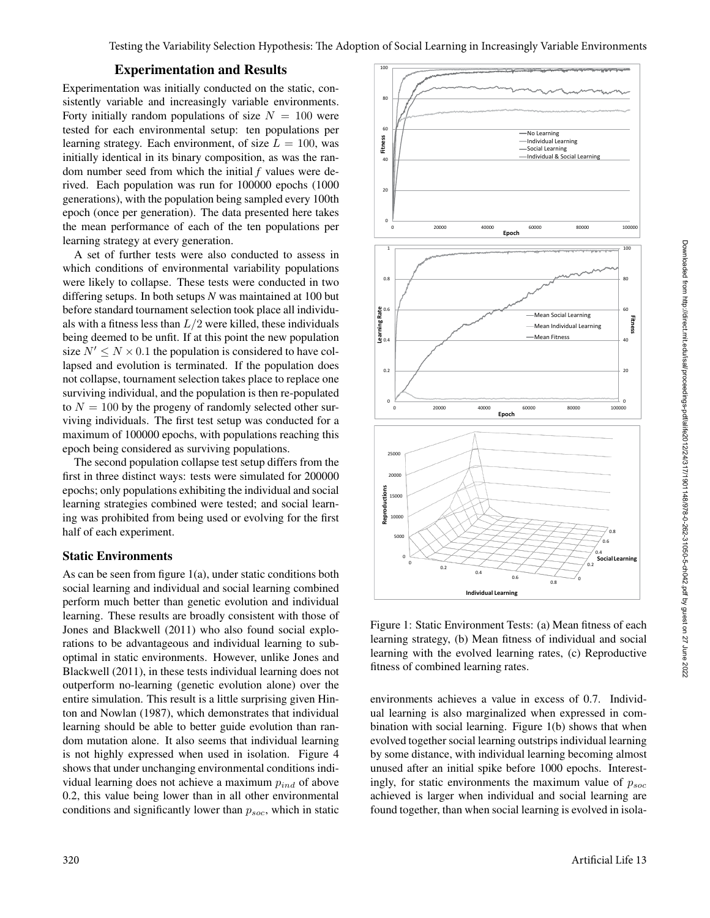### Experimentation and Results

Experimentation was initially conducted on the static, consistently variable and increasingly variable environments. Forty initially random populations of size  $N = 100$  were tested for each environmental setup: ten populations per learning strategy. Each environment, of size  $L = 100$ , was initially identical in its binary composition, as was the random number seed from which the initial *f* values were derived. Each population was run for 100000 epochs (1000 generations), with the population being sampled every 100th epoch (once per generation). The data presented here takes the mean performance of each of the ten populations per learning strategy at every generation.

A set of further tests were also conducted to assess in which conditions of environmental variability populations were likely to collapse. These tests were conducted in two differing setups. In both setups *N* was maintained at 100 but before standard tournament selection took place all individuals with a fitness less than  $L/2$  were killed, these individuals being deemed to be unfit. If at this point the new population size  $N' \leq N \times 0.1$  the population is considered to have collapsed and evolution is terminated. If the population does not collapse, tournament selection takes place to replace one surviving individual, and the population is then re-populated to  $N = 100$  by the progeny of randomly selected other surviving individuals. The first test setup was conducted for a maximum of 100000 epochs, with populations reaching this epoch being considered as surviving populations.

The second population collapse test setup differs from the first in three distinct ways: tests were simulated for 200000 epochs; only populations exhibiting the individual and social learning strategies combined were tested; and social learning was prohibited from being used or evolving for the first half of each experiment.

#### Static Environments

As can be seen from figure 1(a), under static conditions both social learning and individual and social learning combined perform much better than genetic evolution and individual learning. These results are broadly consistent with those of Jones and Blackwell (2011) who also found social explorations to be advantageous and individual learning to suboptimal in static environments. However, unlike Jones and Blackwell (2011), in these tests individual learning does not outperform no-learning (genetic evolution alone) over the entire simulation. This result is a little surprising given Hinton and Nowlan (1987), which demonstrates that individual learning should be able to better guide evolution than random mutation alone. It also seems that individual learning is not highly expressed when used in isolation. Figure 4 shows that under unchanging environmental conditions individual learning does not achieve a maximum  $p_{ind}$  of above 0.2, this value being lower than in all other environmental conditions and significantly lower than  $p_{soc}$ , which in static



Figure 1: Static Environment Tests: (a) Mean fitness of each learning strategy, (b) Mean fitness of individual and social learning with the evolved learning rates, (c) Reproductive fitness of combined learning rates.

environments achieves a value in excess of 0.7. Individual learning is also marginalized when expressed in combination with social learning. Figure 1(b) shows that when evolved together social learning outstrips individual learning by some distance, with individual learning becoming almost unused after an initial spike before 1000 epochs. Interestingly, for static environments the maximum value of  $p_{soc}$ achieved is larger when individual and social learning are found together, than when social learning is evolved in isola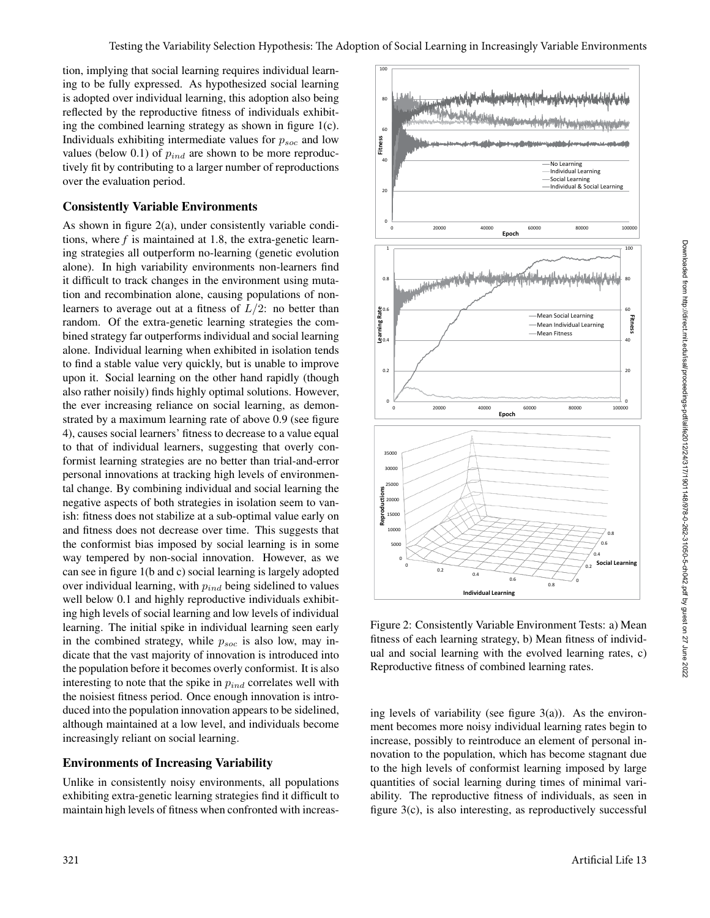tion, implying that social learning requires individual learning to be fully expressed. As hypothesized social learning is adopted over individual learning, this adoption also being reflected by the reproductive fitness of individuals exhibiting the combined learning strategy as shown in figure 1(c). Individuals exhibiting intermediate values for  $p_{soc}$  and low values (below 0.1) of  $p_{ind}$  are shown to be more reproductively fit by contributing to a larger number of reproductions over the evaluation period.

### Consistently Variable Environments

As shown in figure 2(a), under consistently variable conditions, where *f* is maintained at 1.8, the extra-genetic learning strategies all outperform no-learning (genetic evolution alone). In high variability environments non-learners find it difficult to track changes in the environment using mutation and recombination alone, causing populations of nonlearners to average out at a fitness of  $L/2$ : no better than random. Of the extra-genetic learning strategies the combined strategy far outperforms individual and social learning alone. Individual learning when exhibited in isolation tends to find a stable value very quickly, but is unable to improve upon it. Social learning on the other hand rapidly (though also rather noisily) finds highly optimal solutions. However, the ever increasing reliance on social learning, as demonstrated by a maximum learning rate of above 0.9 (see figure 4), causes social learners' fitness to decrease to a value equal to that of individual learners, suggesting that overly conformist learning strategies are no better than trial-and-error personal innovations at tracking high levels of environmental change. By combining individual and social learning the negative aspects of both strategies in isolation seem to vanish: fitness does not stabilize at a sub-optimal value early on and fitness does not decrease over time. This suggests that the conformist bias imposed by social learning is in some way tempered by non-social innovation. However, as we can see in figure 1(b and c) social learning is largely adopted over individual learning, with  $p_{ind}$  being sidelined to values well below 0.1 and highly reproductive individuals exhibiting high levels of social learning and low levels of individual learning. The initial spike in individual learning seen early in the combined strategy, while  $p_{soc}$  is also low, may indicate that the vast majority of innovation is introduced into the population before it becomes overly conformist. It is also interesting to note that the spike in  $p_{ind}$  correlates well with the noisiest fitness period. Once enough innovation is introduced into the population innovation appears to be sidelined, although maintained at a low level, and individuals become increasingly reliant on social learning.

### Environments of Increasing Variability

Unlike in consistently noisy environments, all populations exhibiting extra-genetic learning strategies find it difficult to maintain high levels of fitness when confronted with increas-



Figure 2: Consistently Variable Environment Tests: a) Mean fitness of each learning strategy, b) Mean fitness of individual and social learning with the evolved learning rates, c) Reproductive fitness of combined learning rates.

ing levels of variability (see figure  $3(a)$ ). As the environment becomes more noisy individual learning rates begin to increase, possibly to reintroduce an element of personal innovation to the population, which has become stagnant due to the high levels of conformist learning imposed by large quantities of social learning during times of minimal variability. The reproductive fitness of individuals, as seen in figure 3(c), is also interesting, as reproductively successful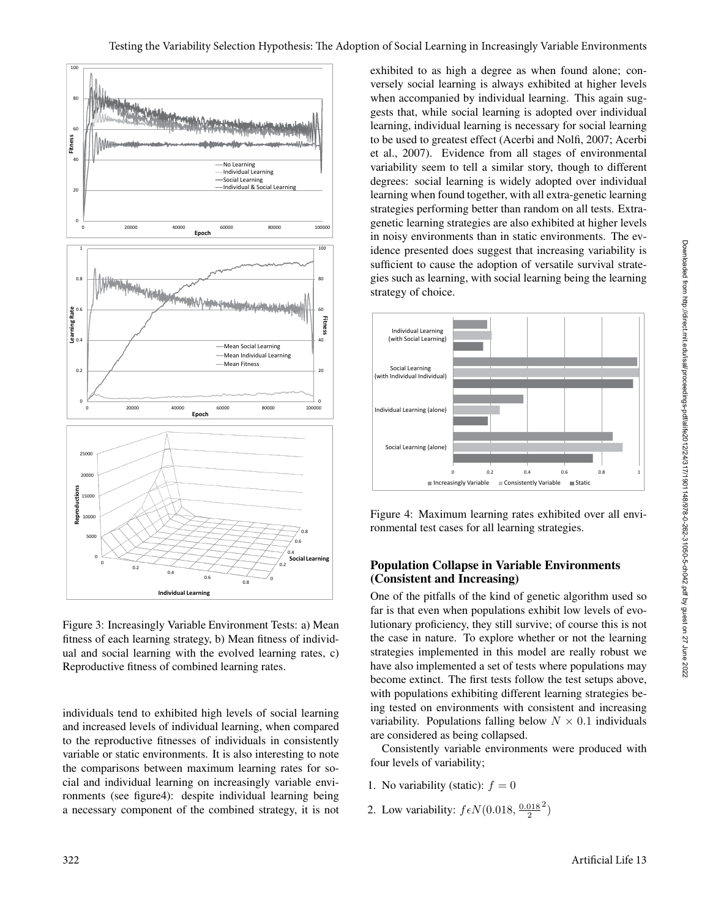

Figure 3: Increasingly Variable Environment Tests: a) Mean fitness of each learning strategy, b) Mean fitness of individual and social learning with the evolved learning rates, c) Reproductive fitness of combined learning rates.

individuals tend to exhibited high levels of social learning and increased levels of individual learning, when compared to the reproductive fitnesses of individuals in consistently variable or static environments. It is also interesting to note the comparisons between maximum learning rates for social and individual learning on increasingly variable environments (see figure4): despite individual learning being a necessary component of the combined strategy, it is not exhibited to as high a degree as when found alone; conversely social learning is always exhibited at higher levels when accompanied by individual learning. This again suggests that, while social learning is adopted over individual learning, individual learning is necessary for social learning to be used to greatest effect (Acerbi and Nolfi, 2007; Acerbi et al., 2007). Evidence from all stages of environmental variability seem to tell a similar story, though to different degrees: social learning is widely adopted over individual learning when found together, with all extra-genetic learning strategies performing better than random on all tests. Extragenetic learning strategies are also exhibited at higher levels in noisy environments than in static environments. The evidence presented does suggest that increasing variability is sufficient to cause the adoption of versatile survival strategies such as learning, with social learning being the learning strategy of choice.



Figure 4: Maximum learning rates exhibited over all environmental test cases for all learning strategies.

# Population Collapse in Variable Environments (Consistent and Increasing)

One of the pitfalls of the kind of genetic algorithm used so far is that even when populations exhibit low levels of evolutionary proficiency, they still survive; of course this is not the case in nature. To explore whether or not the learning strategies implemented in this model are really robust we have also implemented a set of tests where populations may become extinct. The first tests follow the test setups above, with populations exhibiting different learning strategies being tested on environments with consistent and increasing variability. Populations falling below  $N \times 0.1$  individuals are considered as being collapsed.

Consistently variable environments were produced with four levels of variability;

- 1. No variability (static):  $f = 0$
- 2. Low variability:  $f \epsilon N(0.018, \frac{0.018}{2})$  $^{2}$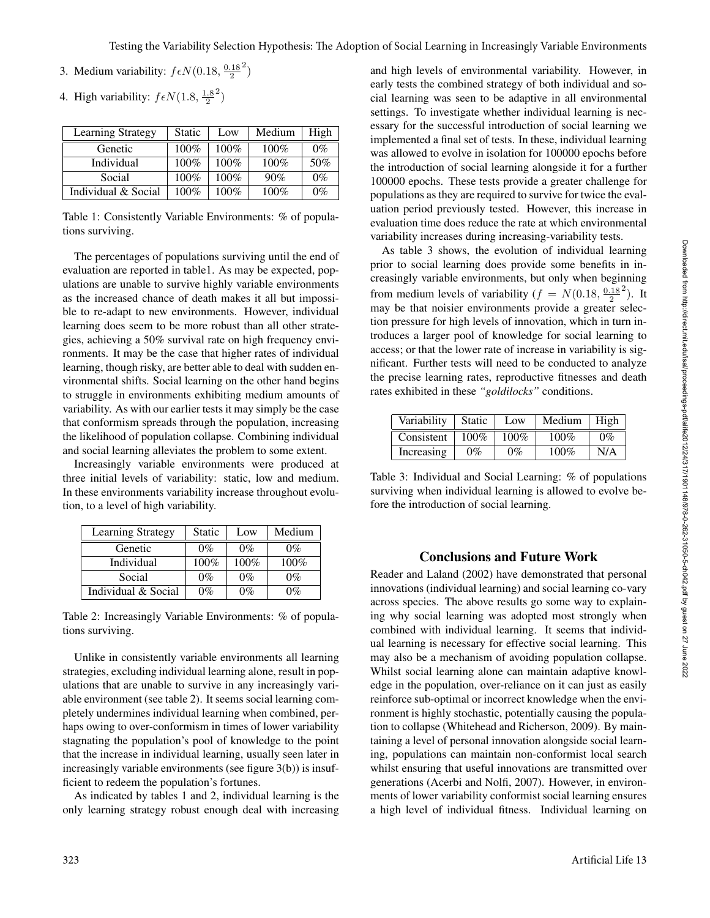- 3. Medium variability:  $f \in N(0.18, \frac{0.18}{2})$  $^{2}$
- 4. High variability:  $f \epsilon N(1.8, \frac{1.8}{2})$ 2 )

| <b>Learning Strategy</b> | <b>Static</b> | Low     | Medium | High  |
|--------------------------|---------------|---------|--------|-------|
| Genetic                  | 100%          | 100%    | 100%   | $0\%$ |
| Individual               | 100%          | $100\%$ | 100%   | 50%   |
| Social                   | 100%          | $100\%$ | 90%    | $0\%$ |
| Individual & Social      | $100\%$       | $100\%$ | 100%   | $0\%$ |

Table 1: Consistently Variable Environments: % of populations surviving.

The percentages of populations surviving until the end of evaluation are reported in table1. As may be expected, populations are unable to survive highly variable environments as the increased chance of death makes it all but impossible to re-adapt to new environments. However, individual learning does seem to be more robust than all other strategies, achieving a 50% survival rate on high frequency environments. It may be the case that higher rates of individual learning, though risky, are better able to deal with sudden environmental shifts. Social learning on the other hand begins to struggle in environments exhibiting medium amounts of variability. As with our earlier tests it may simply be the case that conformism spreads through the population, increasing the likelihood of population collapse. Combining individual and social learning alleviates the problem to some extent.

Increasingly variable environments were produced at three initial levels of variability: static, low and medium. In these environments variability increase throughout evolution, to a level of high variability.

| Learning Strategy   | Static | Low   | Medium |
|---------------------|--------|-------|--------|
| Genetic             | $0\%$  | $0\%$ | $0\%$  |
| Individual          | 100%   | 100%  | 100%   |
| Social              | $0\%$  | $0\%$ | $0\%$  |
| Individual & Social | $0\%$  | $0\%$ | $0\%$  |

Table 2: Increasingly Variable Environments: % of populations surviving.

Unlike in consistently variable environments all learning strategies, excluding individual learning alone, result in populations that are unable to survive in any increasingly variable environment (see table 2). It seems social learning completely undermines individual learning when combined, perhaps owing to over-conformism in times of lower variability stagnating the population's pool of knowledge to the point that the increase in individual learning, usually seen later in increasingly variable environments (see figure 3(b)) is insufficient to redeem the population's fortunes.

As indicated by tables 1 and 2, individual learning is the only learning strategy robust enough deal with increasing

and high levels of environmental variability. However, in early tests the combined strategy of both individual and social learning was seen to be adaptive in all environmental settings. To investigate whether individual learning is necessary for the successful introduction of social learning we implemented a final set of tests. In these, individual learning was allowed to evolve in isolation for 100000 epochs before the introduction of social learning alongside it for a further 100000 epochs. These tests provide a greater challenge for populations as they are required to survive for twice the evaluation period previously tested. However, this increase in evaluation time does reduce the rate at which environmental variability increases during increasing-variability tests.

As table 3 shows, the evolution of individual learning prior to social learning does provide some benefits in increasingly variable environments, but only when beginning from medium levels of variability ( $f = N(0.18, \frac{0.18}{2})$  $^{2}$ ). It may be that noisier environments provide a greater selection pressure for high levels of innovation, which in turn introduces a larger pool of knowledge for social learning to access; or that the lower rate of increase in variability is significant. Further tests will need to be conducted to analyze the precise learning rates, reproductive fitnesses and death rates exhibited in these *"goldilocks"* conditions.

| Variability | <b>Static</b> | Low   | Medium  | High  |
|-------------|---------------|-------|---------|-------|
| Consistent  | $100\%$       | 100%  | $100\%$ | $0\%$ |
| Increasing  | $0\%$         | $0\%$ | $100\%$ | N/A   |

Table 3: Individual and Social Learning: % of populations surviving when individual learning is allowed to evolve before the introduction of social learning.

## Conclusions and Future Work

Reader and Laland (2002) have demonstrated that personal innovations (individual learning) and social learning co-vary across species. The above results go some way to explaining why social learning was adopted most strongly when combined with individual learning. It seems that individual learning is necessary for effective social learning. This may also be a mechanism of avoiding population collapse. Whilst social learning alone can maintain adaptive knowledge in the population, over-reliance on it can just as easily reinforce sub-optimal or incorrect knowledge when the environment is highly stochastic, potentially causing the population to collapse (Whitehead and Richerson, 2009). By maintaining a level of personal innovation alongside social learning, populations can maintain non-conformist local search whilst ensuring that useful innovations are transmitted over generations (Acerbi and Nolfi, 2007). However, in environments of lower variability conformist social learning ensures a high level of individual fitness. Individual learning on